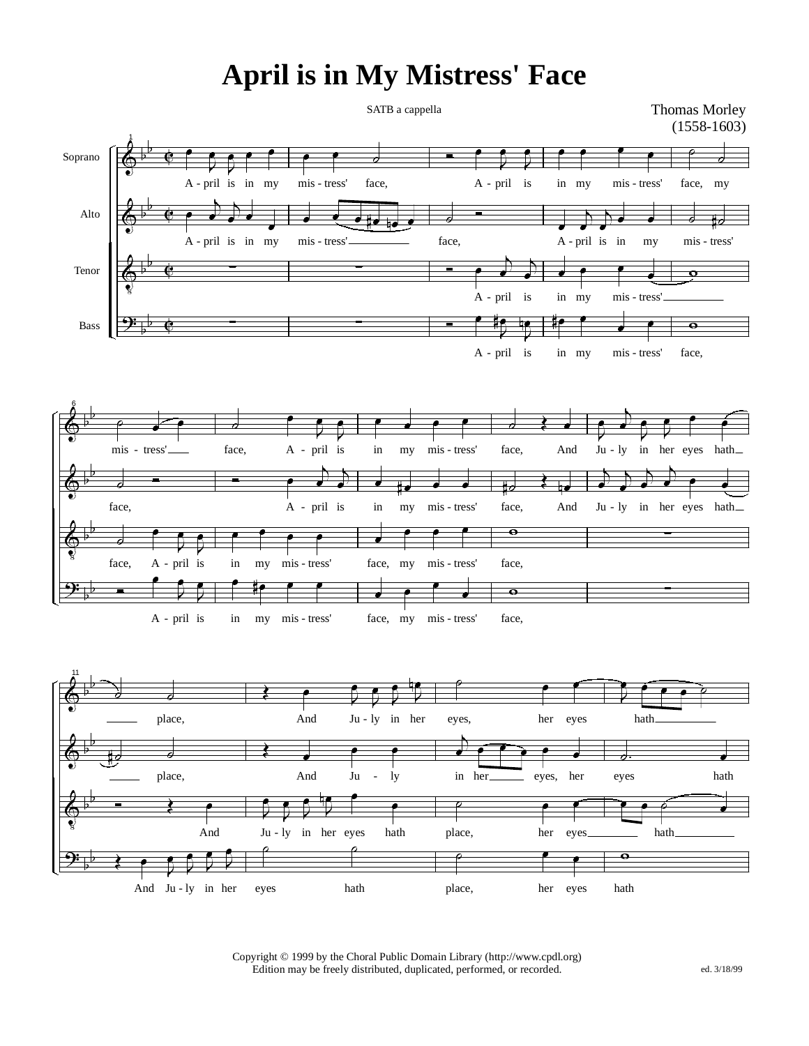## **April is in My Mistress' Face**

SATB a cappella

Thomas Morley (1558-1603)







Copyright © 1999 by the Choral Public Domain Library (http://www.cpdl.org) Edition may be freely distributed, duplicated, performed, or recorded. ed. 3/18/99